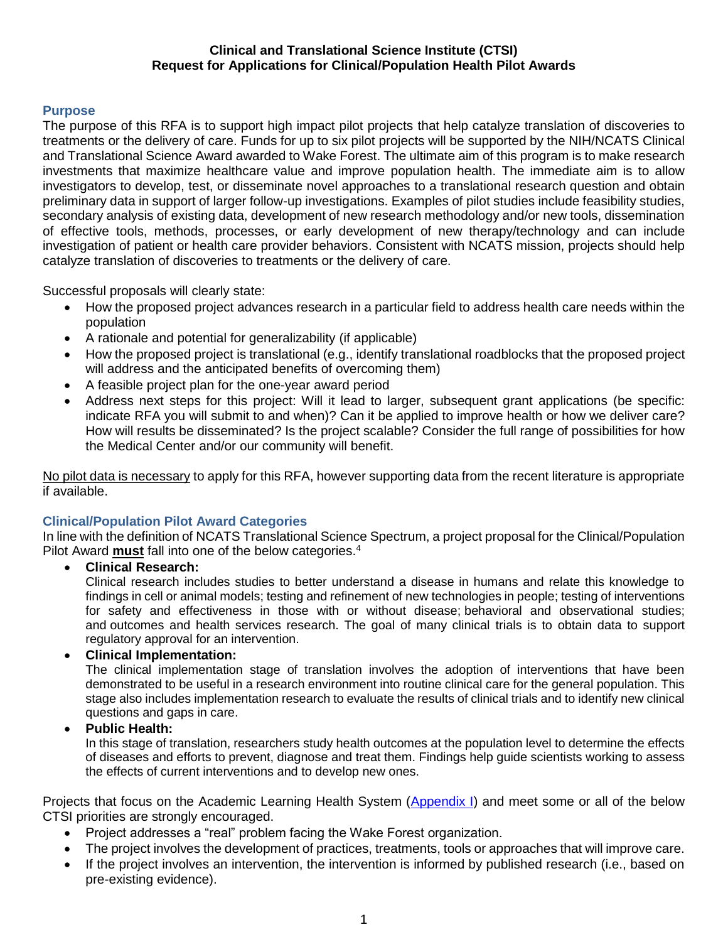### **Clinical and Translational Science Institute (CTSI) Request for Applications for Clinical/Population Health Pilot Awards**

# **Purpose**

The purpose of this RFA is to support high impact pilot projects that help catalyze translation of discoveries to treatments or the delivery of care. Funds for up to six pilot projects will be supported by the NIH/NCATS Clinical and Translational Science Award awarded to Wake Forest. The ultimate aim of this program is to make research investments that maximize healthcare value and improve population health. The immediate aim is to allow investigators to develop, test, or disseminate novel approaches to a translational research question and obtain preliminary data in support of larger follow-up investigations. Examples of pilot studies include feasibility studies, secondary analysis of existing data, development of new research methodology and/or new tools, dissemination of effective tools, methods, processes, or early development of new therapy/technology and can include investigation of patient or health care provider behaviors. Consistent with NCATS mission, projects should help catalyze translation of discoveries to treatments or the delivery of care.

Successful proposals will clearly state:

- How the proposed project advances research in a particular field to address health care needs within the population
- A rationale and potential for generalizability (if applicable)
- How the proposed project is translational (e.g., identify translational roadblocks that the proposed project will address and the anticipated benefits of overcoming them)
- A feasible project plan for the one-year award period
- Address next steps for this project: Will it lead to larger, subsequent grant applications (be specific: indicate RFA you will submit to and when)? Can it be applied to improve health or how we deliver care? How will results be disseminated? Is the project scalable? Consider the full range of possibilities for how the Medical Center and/or our community will benefit.

No pilot data is necessary to apply for this RFA, however supporting data from the recent literature is appropriate if available.

### **Clinical/Population Pilot Award Categories**

In line with the definition of NCATS Translational Science Spectrum, a project proposal for the Clinical/Population Pilot Award **must** fall into one of the below categories.<sup>4</sup>

**Clinical Research:**

Clinical research includes studies to better understand a disease in humans and relate this knowledge to findings in cell or animal models; testing and refinement of new technologies in people; testing of interventions for safety and effectiveness in those with or without disease; behavioral and observational studies; and outcomes and health services research. The goal of many clinical trials is to obtain data to support regulatory approval for an intervention.

# **Clinical Implementation:**

The clinical implementation stage of translation involves the adoption of interventions that have been demonstrated to be useful in a research environment into routine clinical care for the general population. This stage also includes implementation research to evaluate the results of clinical trials and to identify new clinical questions and gaps in care.

### **Public Health:**

In this stage of translation, researchers study health outcomes at the population level to determine the effects of diseases and efforts to prevent, diagnose and treat them. Findings help guide scientists working to assess the effects of current interventions and to develop new ones.

Projects that focus on the Academic Learning Health System [\(Appendix I\)](#page-6-0) and meet some or all of the below CTSI priorities are strongly encouraged.

- Project addresses a "real" problem facing the Wake Forest organization.
- The project involves the development of practices, treatments, tools or approaches that will improve care.
- If the project involves an intervention, the intervention is informed by published research (i.e., based on pre-existing evidence).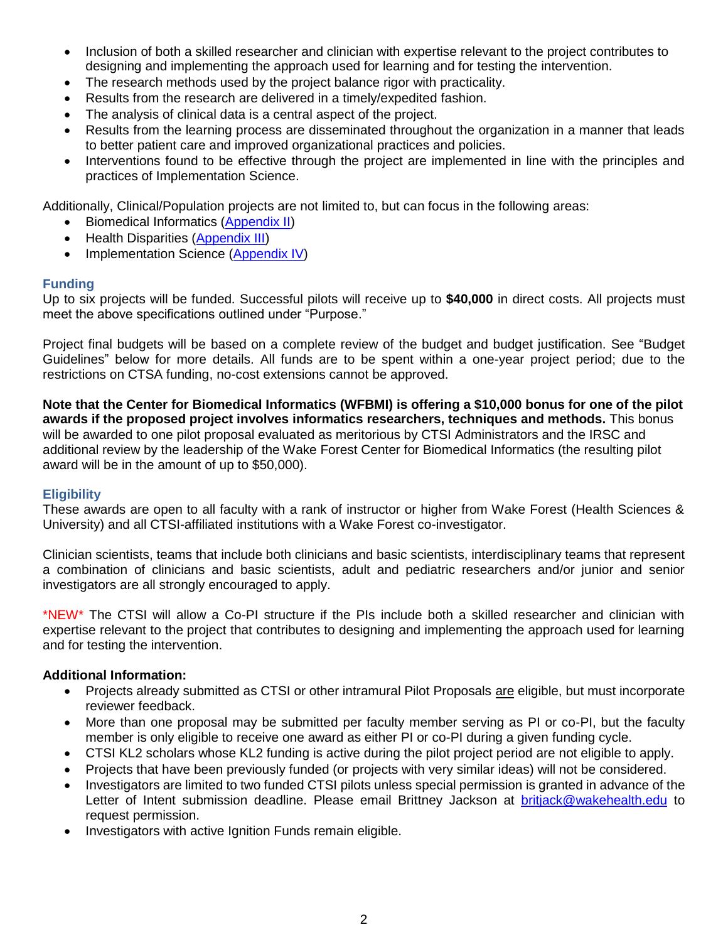- Inclusion of both a skilled researcher and clinician with expertise relevant to the project contributes to designing and implementing the approach used for learning and for testing the intervention.
- The research methods used by the project balance rigor with practicality.
- Results from the research are delivered in a timely/expedited fashion.
- The analysis of clinical data is a central aspect of the project.
- Results from the learning process are disseminated throughout the organization in a manner that leads to better patient care and improved organizational practices and policies.
- Interventions found to be effective through the project are implemented in line with the principles and practices of Implementation Science.

Additionally, Clinical/Population projects are not limited to, but can focus in the following areas:

- Biomedical Informatics [\(Appendix II\)](#page-8-0)
- Health Disparities [\(Appendix III\)](#page-9-0)
- Implementation Science [\(Appendix IV\)](#page-10-0)

### **Funding**

Up to six projects will be funded. Successful pilots will receive up to **\$40,000** in direct costs. All projects must meet the above specifications outlined under "Purpose."

Project final budgets will be based on a complete review of the budget and budget justification. See "Budget Guidelines" below for more details. All funds are to be spent within a one-year project period; due to the restrictions on CTSA funding, no-cost extensions cannot be approved.

**Note that the Center for Biomedical Informatics (WFBMI) is offering a \$10,000 bonus for one of the pilot awards if the proposed project involves informatics researchers, techniques and methods.** This bonus will be awarded to one pilot proposal evaluated as meritorious by CTSI Administrators and the IRSC and additional review by the leadership of the Wake Forest Center for Biomedical Informatics (the resulting pilot award will be in the amount of up to \$50,000).

### **Eligibility**

These awards are open to all faculty with a rank of instructor or higher from Wake Forest (Health Sciences & University) and all CTSI-affiliated institutions with a Wake Forest co-investigator.

Clinician scientists, teams that include both clinicians and basic scientists, interdisciplinary teams that represent a combination of clinicians and basic scientists, adult and pediatric researchers and/or junior and senior investigators are all strongly encouraged to apply.

\*NEW\* The CTSI will allow a Co-PI structure if the PIs include both a skilled researcher and clinician with expertise relevant to the project that contributes to designing and implementing the approach used for learning and for testing the intervention.

#### **Additional Information:**

- Projects already submitted as CTSI or other intramural Pilot Proposals are eligible, but must incorporate reviewer feedback.
- More than one proposal may be submitted per faculty member serving as PI or co-PI, but the faculty member is only eligible to receive one award as either PI or co-PI during a given funding cycle.
- CTSI KL2 scholars whose KL2 funding is active during the pilot project period are not eligible to apply.
- Projects that have been previously funded (or projects with very similar ideas) will not be considered.
- Investigators are limited to two funded CTSI pilots unless special permission is granted in advance of the Letter of Intent submission deadline. Please email Brittney Jackson at [britjack@wakehealth.edu](mailto:britjack@wakehealth.edu) to request permission.
- Investigators with active Ignition Funds remain eligible.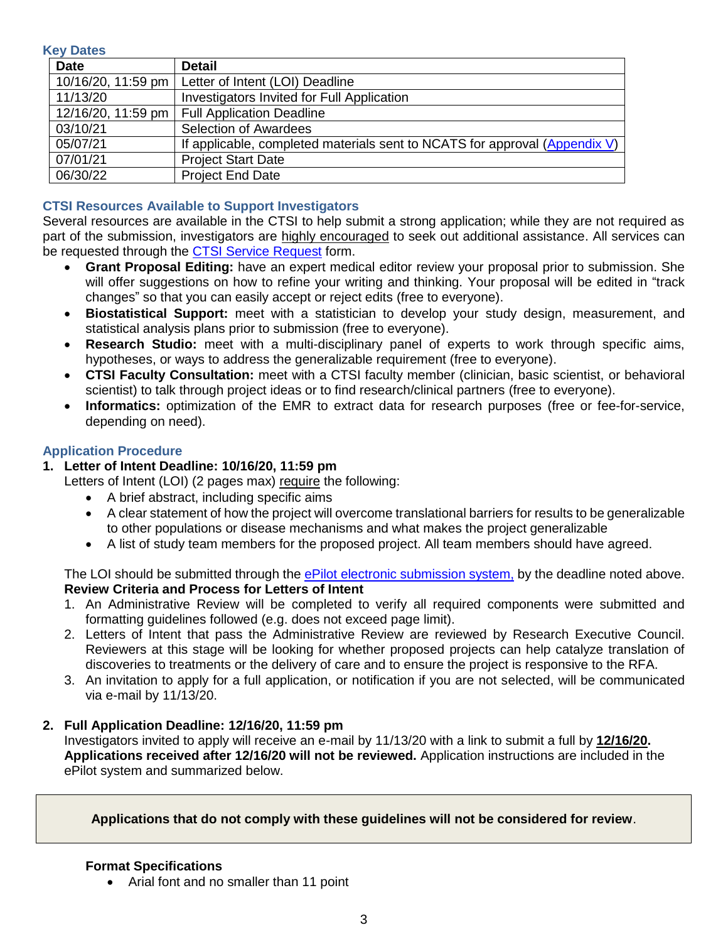**Key Dates**

| <b>Date</b>        | <b>Detail</b>                                                              |
|--------------------|----------------------------------------------------------------------------|
| 10/16/20, 11:59 pm | Letter of Intent (LOI) Deadline                                            |
| 11/13/20           | Investigators Invited for Full Application                                 |
|                    | 12/16/20, 11:59 pm   Full Application Deadline                             |
| 03/10/21           | <b>Selection of Awardees</b>                                               |
| 05/07/21           | If applicable, completed materials sent to NCATS for approval (Appendix V) |
| 07/01/21           | <b>Project Start Date</b>                                                  |
| 06/30/22           | <b>Project End Date</b>                                                    |

# **CTSI Resources Available to Support Investigators**

Several resources are available in the CTSI to help submit a strong application; while they are not required as part of the submission, investigators are highly encouraged to seek out additional assistance. All services can be requested through the [CTSI Service Request](https://redcap.wakehealth.edu/redcap/surveys/?s=M3EEWM34NJ) form.

- **Grant Proposal Editing:** have an expert medical editor review your proposal prior to submission. She will offer suggestions on how to refine your writing and thinking. Your proposal will be edited in "track changes" so that you can easily accept or reject edits (free to everyone).
- **Biostatistical Support:** meet with a statistician to develop your study design, measurement, and statistical analysis plans prior to submission (free to everyone).
- **Research Studio:** meet with a multi-disciplinary panel of experts to work through specific aims, hypotheses, or ways to address the generalizable requirement (free to everyone).
- **CTSI Faculty Consultation:** meet with a CTSI faculty member (clinician, basic scientist, or behavioral scientist) to talk through project ideas or to find research/clinical partners (free to everyone).
- **Informatics:** optimization of the EMR to extract data for research purposes (free or fee-for-service, depending on need).

### **Application Procedure**

# **1. Letter of Intent Deadline: 10/16/20, 11:59 pm**

Letters of Intent (LOI) (2 pages max) require the following:

- A brief abstract, including specific aims
- A clear statement of how the project will overcome translational barriers for results to be generalizable to other populations or disease mechanisms and what makes the project generalizable
- A list of study team members for the proposed project. All team members should have agreed.

The LOI should be submitted through the [ePilot electronic submission system,](https://redcap.wakehealth.edu/redcap/surveys/?s=7PEH4YYJ4K) by the deadline noted above. **Review Criteria and Process for Letters of Intent**

- 1. An Administrative Review will be completed to verify all required components were submitted and formatting guidelines followed (e.g. does not exceed page limit).
- 2. Letters of Intent that pass the Administrative Review are reviewed by Research Executive Council. Reviewers at this stage will be looking for whether proposed projects can help catalyze translation of discoveries to treatments or the delivery of care and to ensure the project is responsive to the RFA.
- 3. An invitation to apply for a full application, or notification if you are not selected, will be communicated via e-mail by 11/13/20.

#### **2. Full Application Deadline: 12/16/20, 11:59 pm**

Investigators invited to apply will receive an e-mail by 11/13/20 with a link to submit a full by **12/16/20. Applications received after 12/16/20 will not be reviewed.** Application instructions are included in the ePilot system and summarized below.

**Applications that do not comply with these guidelines will not be considered for review**.

#### **Format Specifications**

• Arial font and no smaller than 11 point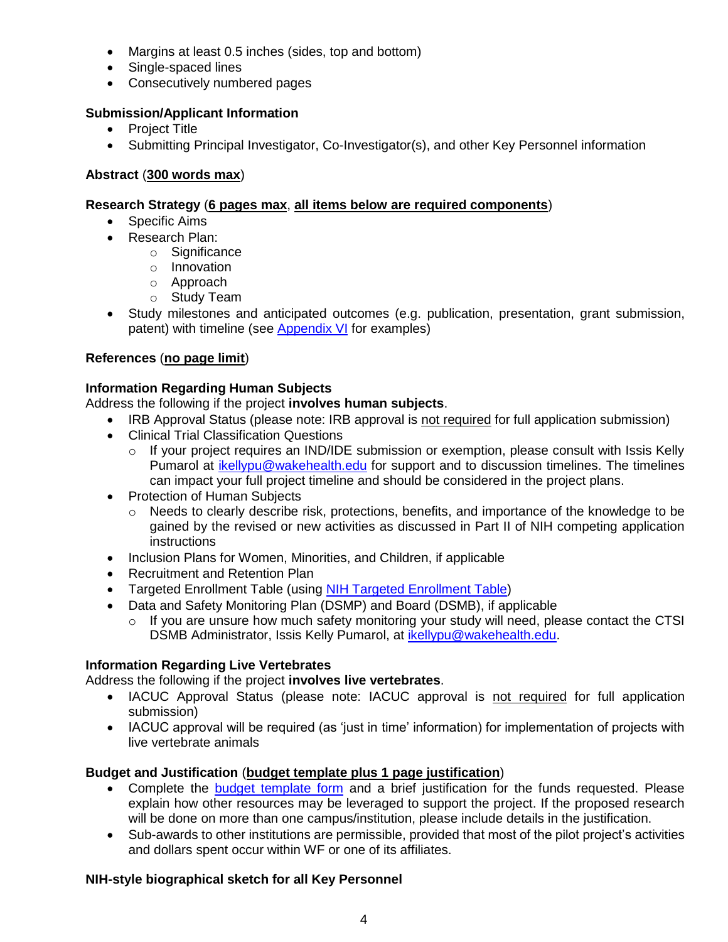- Margins at least 0.5 inches (sides, top and bottom)
- Single-spaced lines
- Consecutively numbered pages

# **Submission/Applicant Information**

- Project Title
- Submitting Principal Investigator, Co-Investigator(s), and other Key Personnel information

# **Abstract** (**300 words max**)

# **Research Strategy** (**6 pages max**, **all items below are required components**)

- Specific Aims
- Research Plan:
	- o Significance
	- o Innovation
	- o Approach
	- o Study Team
- Study milestones and anticipated outcomes (e.g. publication, presentation, grant submission, patent) with timeline (see [Appendix VI](#page-12-0) for examples)

# **References** (**no page limit**)

# **Information Regarding Human Subjects**

Address the following if the project **involves human subjects**.

- IRB Approval Status (please note: IRB approval is not required for full application submission)
- Clinical Trial Classification Questions
	- $\circ$  If your project requires an IND/IDE submission or exemption, please consult with Issis Kelly Pumarol at [ikellypu@wakehealth.edu](mailto:ikellypu@wakehealth.edu) for support and to discussion timelines. The timelines can impact your full project timeline and should be considered in the project plans.
- Protection of Human Subjects
	- o Needs to clearly describe risk, protections, benefits, and importance of the knowledge to be gained by the revised or new activities as discussed in Part II of NIH competing application instructions
- Inclusion Plans for Women, Minorities, and Children, if applicable
- Recruitment and Retention Plan
- Targeted Enrollment Table (using [NIH Targeted Enrollment Table\)](https://wakehealth.sharepoint.com/:x:/r/teams/CTSIWebCollection/Shared%20Documents/Funding/Enrollment%20Table%20Template.xlsx)
- Data and Safety Monitoring Plan (DSMP) and Board (DSMB), if applicable
	- $\circ$  If you are unsure how much safety monitoring your study will need, please contact the CTSI DSMB Administrator, Issis Kelly Pumarol, at [ikellypu@wakehealth.edu.](mailto:ikellypu@wakehealth.edu)

# **Information Regarding Live Vertebrates**

Address the following if the project **involves live vertebrates**.

- IACUC Approval Status (please note: IACUC approval is not required for full application submission)
- IACUC approval will be required (as 'just in time' information) for implementation of projects with live vertebrate animals

# **Budget and Justification** (**budget template plus 1 page justification**)

- Complete the [budget template form](https://wakehealth.sharepoint.com/:x:/r/teams/CTSIWebCollection/Shared%20Documents/CSTI-Public/CTSI%20Pilot%20Budget%20Template.xlsx) and a brief justification for the funds requested. Please explain how other resources may be leveraged to support the project. If the proposed research will be done on more than one campus/institution, please include details in the justification.
- Sub-awards to other institutions are permissible, provided that most of the pilot project's activities and dollars spent occur within WF or one of its affiliates.

# **NIH-style biographical sketch for all Key Personnel**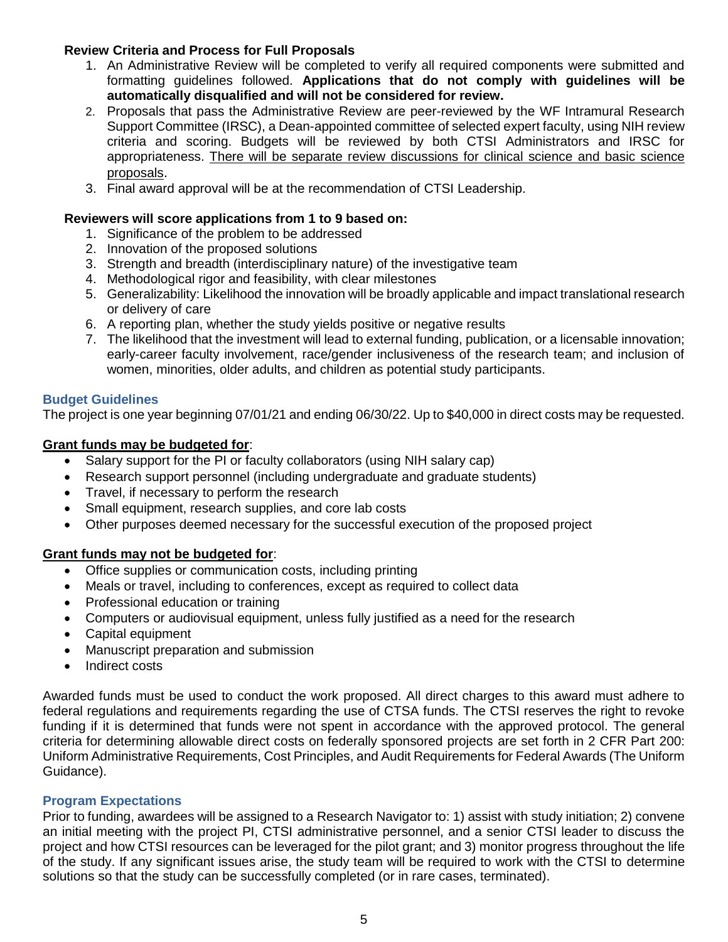### **Review Criteria and Process for Full Proposals**

- 1. An Administrative Review will be completed to verify all required components were submitted and formatting guidelines followed. **Applications that do not comply with guidelines will be automatically disqualified and will not be considered for review.**
- 2. Proposals that pass the Administrative Review are peer-reviewed by the WF Intramural Research Support Committee (IRSC), a Dean-appointed committee of selected expert faculty, using NIH review criteria and scoring. Budgets will be reviewed by both CTSI Administrators and IRSC for appropriateness. There will be separate review discussions for clinical science and basic science proposals.
- 3. Final award approval will be at the recommendation of CTSI Leadership.

### **Reviewers will score applications from 1 to 9 based on:**

- 1. Significance of the problem to be addressed
- 2. Innovation of the proposed solutions
- 3. Strength and breadth (interdisciplinary nature) of the investigative team
- 4. Methodological rigor and feasibility, with clear milestones
- 5. Generalizability: Likelihood the innovation will be broadly applicable and impact translational research or delivery of care
- 6. A reporting plan, whether the study yields positive or negative results
- 7. The likelihood that the investment will lead to external funding, publication, or a licensable innovation; early-career faculty involvement, race/gender inclusiveness of the research team; and inclusion of women, minorities, older adults, and children as potential study participants.

# **Budget Guidelines**

The project is one year beginning 07/01/21 and ending 06/30/22. Up to \$40,000 in direct costs may be requested.

# **Grant funds may be budgeted for**:

- Salary support for the PI or faculty collaborators (using NIH salary cap)
- Research support personnel (including undergraduate and graduate students)
- Travel, if necessary to perform the research
- Small equipment, research supplies, and core lab costs
- Other purposes deemed necessary for the successful execution of the proposed project

# **Grant funds may not be budgeted for**:

- Office supplies or communication costs, including printing
- Meals or travel, including to conferences, except as required to collect data
- Professional education or training
- Computers or audiovisual equipment, unless fully justified as a need for the research
- Capital equipment
- Manuscript preparation and submission
- Indirect costs

Awarded funds must be used to conduct the work proposed. All direct charges to this award must adhere to federal regulations and requirements regarding the use of CTSA funds. The CTSI reserves the right to revoke funding if it is determined that funds were not spent in accordance with the approved protocol. The general criteria for determining allowable direct costs on federally sponsored projects are set forth in 2 CFR Part 200: Uniform Administrative Requirements, Cost Principles, and Audit Requirements for Federal Awards (The Uniform Guidance).

### **Program Expectations**

Prior to funding, awardees will be assigned to a Research Navigator to: 1) assist with study initiation; 2) convene an initial meeting with the project PI, CTSI administrative personnel, and a senior CTSI leader to discuss the project and how CTSI resources can be leveraged for the pilot grant; and 3) monitor progress throughout the life of the study. If any significant issues arise, the study team will be required to work with the CTSI to determine solutions so that the study can be successfully completed (or in rare cases, terminated).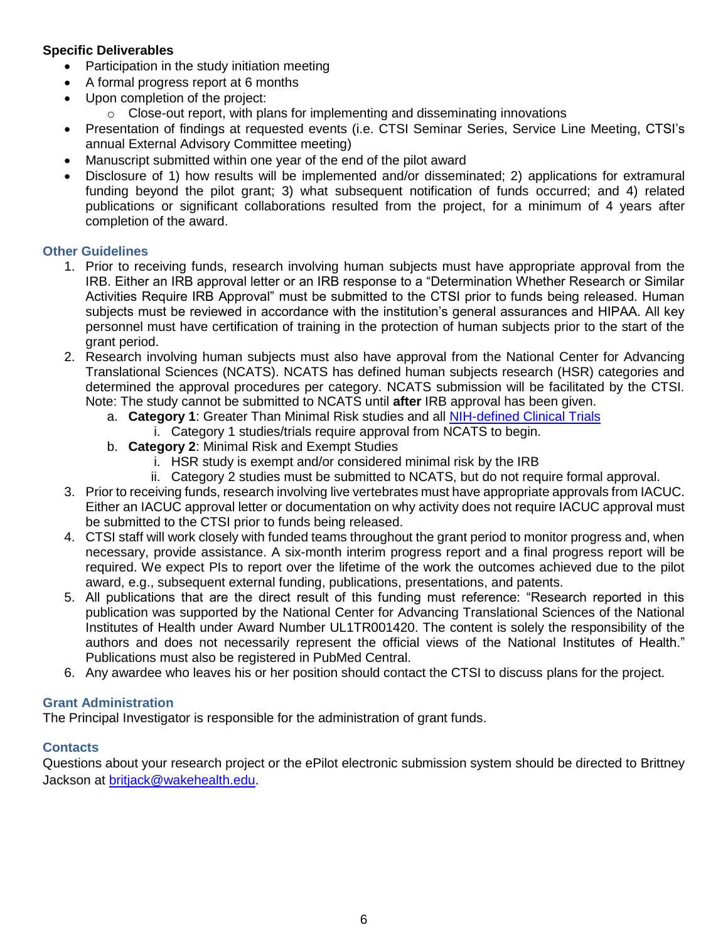# **Specific Deliverables**

- Participation in the study initiation meeting
- A formal progress report at 6 months
- Upon completion of the project:
	- $\circ$  Close-out report, with plans for implementing and disseminating innovations
- Presentation of findings at requested events (i.e. CTSI Seminar Series, Service Line Meeting, CTSI's annual External Advisory Committee meeting)
- Manuscript submitted within one year of the end of the pilot award
- Disclosure of 1) how results will be implemented and/or disseminated; 2) applications for extramural funding beyond the pilot grant; 3) what subsequent notification of funds occurred; and 4) related publications or significant collaborations resulted from the project, for a minimum of 4 years after completion of the award.

# **Other Guidelines**

- 1. Prior to receiving funds, research involving human subjects must have appropriate approval from the IRB. Either an IRB approval letter or an IRB response to a "Determination Whether Research or Similar Activities Require IRB Approval" must be submitted to the CTSI prior to funds being released. Human subjects must be reviewed in accordance with the institution's general assurances and HIPAA. All key personnel must have certification of training in the protection of human subjects prior to the start of the grant period.
- 2. Research involving human subjects must also have approval from the National Center for Advancing Translational Sciences (NCATS). NCATS has defined human subjects research (HSR) categories and determined the approval procedures per category. NCATS submission will be facilitated by the CTSI. Note: The study cannot be submitted to NCATS until **after** IRB approval has been given.
	- a. **Category 1**: Greater Than Minimal Risk studies and all [NIH-defined Clinical Trials](https://grants.nih.gov/policy/clinical-trials/definition.htm) i. Category 1 studies/trials require approval from NCATS to begin.
	- b. **Category 2**: Minimal Risk and Exempt Studies
		- i. HSR study is exempt and/or considered minimal risk by the IRB
		- ii. Category 2 studies must be submitted to NCATS, but do not require formal approval.
- 3. Prior to receiving funds, research involving live vertebrates must have appropriate approvals from IACUC. Either an IACUC approval letter or documentation on why activity does not require IACUC approval must be submitted to the CTSI prior to funds being released.
- 4. CTSI staff will work closely with funded teams throughout the grant period to monitor progress and, when necessary, provide assistance. A six-month interim progress report and a final progress report will be required. We expect PIs to report over the lifetime of the work the outcomes achieved due to the pilot award, e.g., subsequent external funding, publications, presentations, and patents.
- 5. All publications that are the direct result of this funding must reference: "Research reported in this publication was supported by the National Center for Advancing Translational Sciences of the National Institutes of Health under Award Number UL1TR001420. The content is solely the responsibility of the authors and does not necessarily represent the official views of the National Institutes of Health." Publications must also be registered in PubMed Central.
- 6. Any awardee who leaves his or her position should contact the CTSI to discuss plans for the project.

# **Grant Administration**

The Principal Investigator is responsible for the administration of grant funds.

# **Contacts**

Questions about your research project or the ePilot electronic submission system should be directed to Brittney Jackson at [britjack@wakehealth.edu.](mailto:britjack@wakehealth.edu)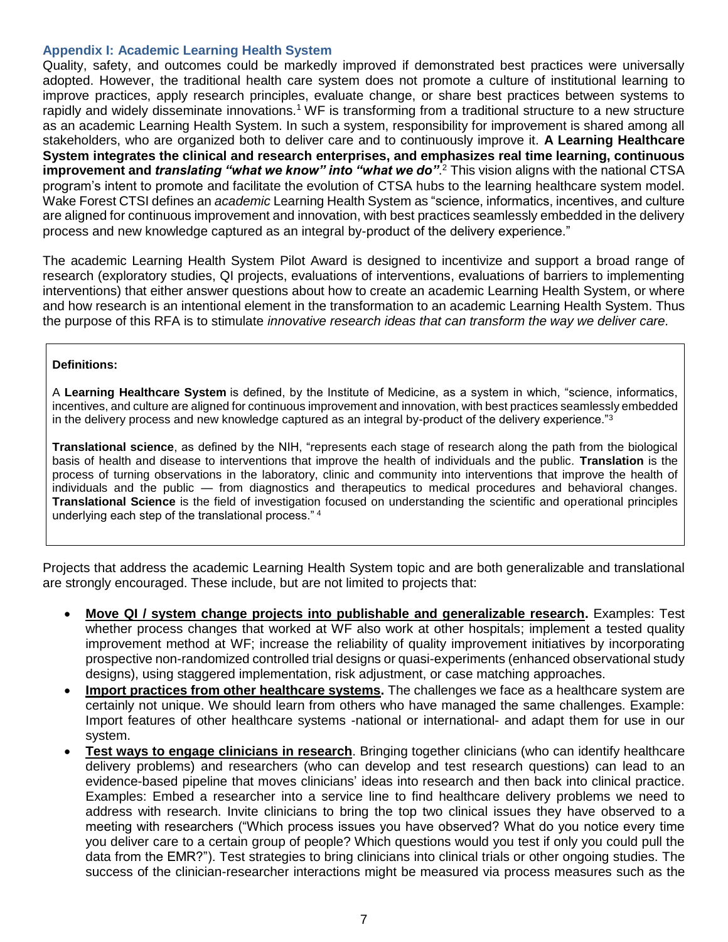#### <span id="page-6-0"></span>**Appendix I: Academic Learning Health System**

Quality, safety, and outcomes could be markedly improved if demonstrated best practices were universally adopted. However, the traditional health care system does not promote a culture of institutional learning to improve practices, apply research principles, evaluate change, or share best practices between systems to rapidly and widely disseminate innovations.<sup>1</sup> WF is transforming from a traditional structure to a new structure as an academic Learning Health System. In such a system, responsibility for improvement is shared among all stakeholders, who are organized both to deliver care and to continuously improve it. **A Learning Healthcare System integrates the clinical and research enterprises, and emphasizes real time learning, continuous improvement and** *translating "what we know" into "what we do"*. <sup>2</sup> This vision aligns with the national CTSA program's intent to promote and facilitate the evolution of CTSA hubs to the learning healthcare system model. Wake Forest CTSI defines an *academic* Learning Health System as "science, informatics, incentives, and culture are aligned for continuous improvement and innovation, with best practices seamlessly embedded in the delivery process and new knowledge captured as an integral by-product of the delivery experience."

The academic Learning Health System Pilot Award is designed to incentivize and support a broad range of research (exploratory studies, QI projects, evaluations of interventions, evaluations of barriers to implementing interventions) that either answer questions about how to create an academic Learning Health System, or where and how research is an intentional element in the transformation to an academic Learning Health System. Thus the purpose of this RFA is to stimulate *innovative research ideas that can transform the way we deliver care.*

#### **Definitions:**

A **Learning Healthcare System** is defined, by the Institute of Medicine, as a system in which, "science, informatics, incentives, and culture are aligned for continuous improvement and innovation, with best practices seamlessly embedded in the delivery process and new knowledge captured as an integral by-product of the delivery experience."<sup>3</sup>

**Translational science**, as defined by the NIH, "represents each stage of research along the path from the biological basis of health and disease to interventions that improve the health of individuals and the public. **Translation** is the process of turning observations in the laboratory, clinic and community into interventions that improve the health of individuals and the public — from diagnostics and therapeutics to medical procedures and behavioral changes. **Translational Science** is the field of investigation focused on understanding the scientific and operational principles underlying each step of the translational process." <sup>4</sup>

Projects that address the academic Learning Health System topic and are both generalizable and translational are strongly encouraged. These include, but are not limited to projects that:

- **Move QI / system change projects into publishable and generalizable research.** Examples: Test whether process changes that worked at WF also work at other hospitals; implement a tested quality improvement method at WF; increase the reliability of quality improvement initiatives by incorporating prospective non-randomized controlled trial designs or quasi-experiments (enhanced observational study designs), using staggered implementation, risk adjustment, or case matching approaches.
- **Import practices from other healthcare systems.** The challenges we face as a healthcare system are certainly not unique. We should learn from others who have managed the same challenges. Example: Import features of other healthcare systems -national or international- and adapt them for use in our system.
- **Test ways to engage clinicians in research**. Bringing together clinicians (who can identify healthcare delivery problems) and researchers (who can develop and test research questions) can lead to an evidence-based pipeline that moves clinicians' ideas into research and then back into clinical practice. Examples: Embed a researcher into a service line to find healthcare delivery problems we need to address with research. Invite clinicians to bring the top two clinical issues they have observed to a meeting with researchers ("Which process issues you have observed? What do you notice every time you deliver care to a certain group of people? Which questions would you test if only you could pull the data from the EMR?"). Test strategies to bring clinicians into clinical trials or other ongoing studies. The success of the clinician-researcher interactions might be measured via process measures such as the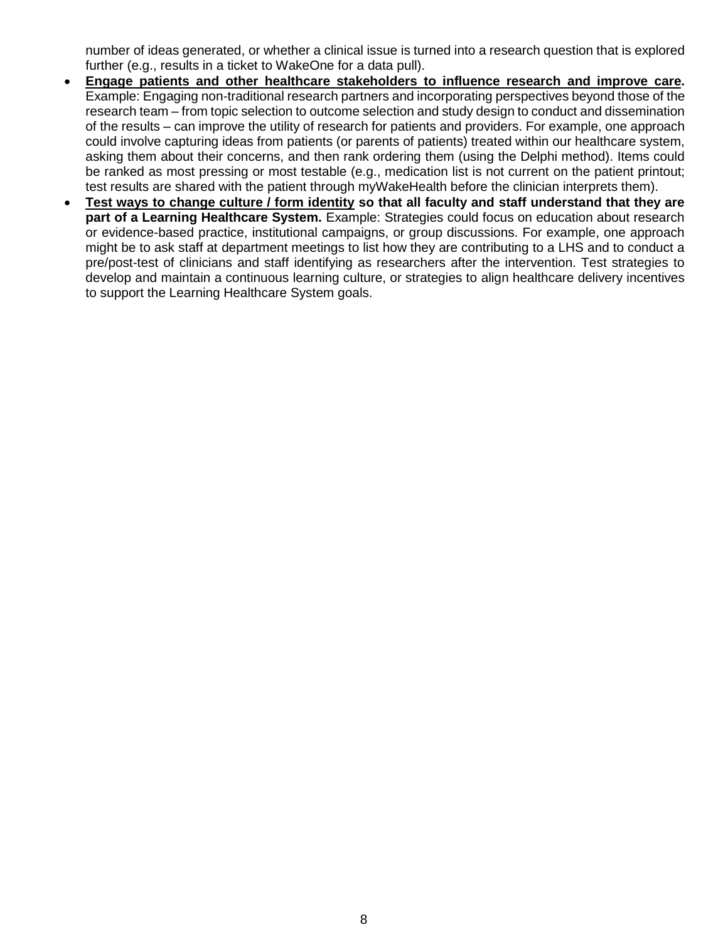number of ideas generated, or whether a clinical issue is turned into a research question that is explored further (e.g., results in a ticket to WakeOne for a data pull).

- **Engage patients and other healthcare stakeholders to influence research and improve care.**  Example: Engaging non-traditional research partners and incorporating perspectives beyond those of the research team – from topic selection to outcome selection and study design to conduct and dissemination of the results – can improve the utility of research for patients and providers. For example, one approach could involve capturing ideas from patients (or parents of patients) treated within our healthcare system, asking them about their concerns, and then rank ordering them (using the Delphi method). Items could be ranked as most pressing or most testable (e.g., medication list is not current on the patient printout; test results are shared with the patient through myWakeHealth before the clinician interprets them).
- **Test ways to change culture / form identity so that all faculty and staff understand that they are part of a Learning Healthcare System.** Example: Strategies could focus on education about research or evidence-based practice, institutional campaigns, or group discussions. For example, one approach might be to ask staff at department meetings to list how they are contributing to a LHS and to conduct a pre/post-test of clinicians and staff identifying as researchers after the intervention. Test strategies to develop and maintain a continuous learning culture, or strategies to align healthcare delivery incentives to support the Learning Healthcare System goals.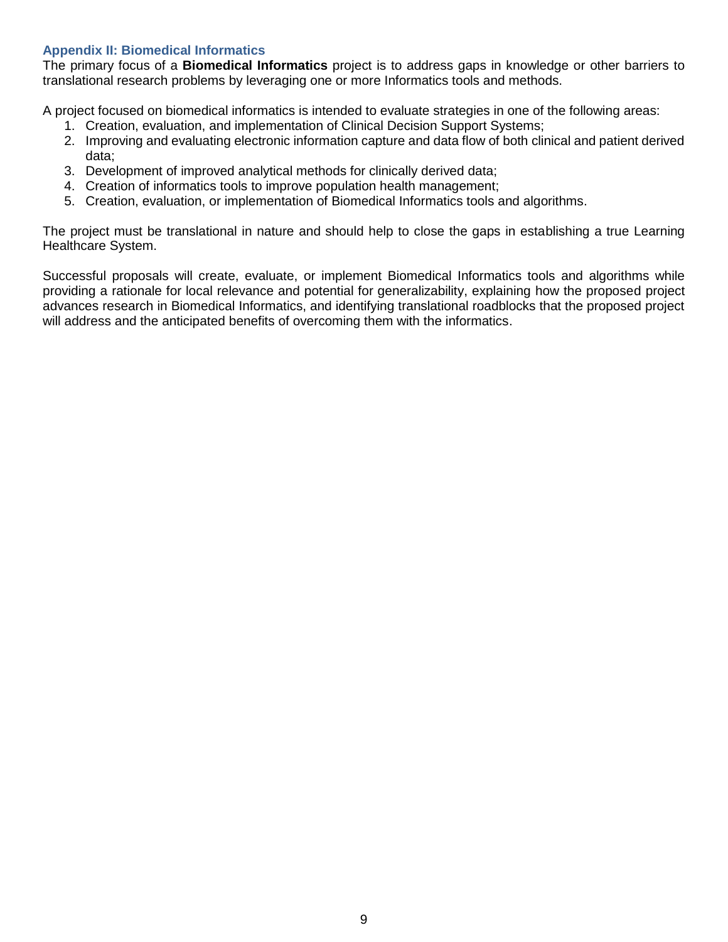## <span id="page-8-0"></span>**Appendix II: Biomedical Informatics**

The primary focus of a **Biomedical Informatics** project is to address gaps in knowledge or other barriers to translational research problems by leveraging one or more Informatics tools and methods.

A project focused on biomedical informatics is intended to evaluate strategies in one of the following areas:

- 1. Creation, evaluation, and implementation of Clinical Decision Support Systems;
- 2. Improving and evaluating electronic information capture and data flow of both clinical and patient derived data;
- 3. Development of improved analytical methods for clinically derived data;
- 4. Creation of informatics tools to improve population health management;
- 5. Creation, evaluation, or implementation of Biomedical Informatics tools and algorithms.

The project must be translational in nature and should help to close the gaps in establishing a true Learning Healthcare System.

Successful proposals will create, evaluate, or implement Biomedical Informatics tools and algorithms while providing a rationale for local relevance and potential for generalizability, explaining how the proposed project advances research in Biomedical Informatics, and identifying translational roadblocks that the proposed project will address and the anticipated benefits of overcoming them with the informatics.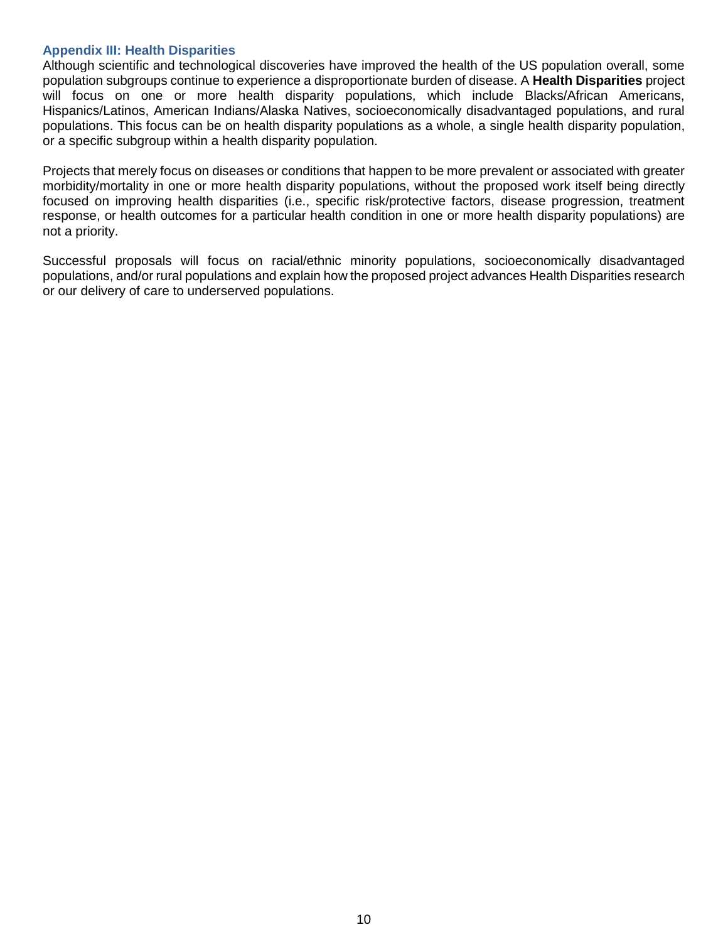#### <span id="page-9-0"></span>**Appendix III: Health Disparities**

Although scientific and technological discoveries have improved the health of the US population overall, some population subgroups continue to experience a disproportionate burden of disease. A **Health Disparities** project will focus on one or more health disparity populations, which include Blacks/African Americans, Hispanics/Latinos, American Indians/Alaska Natives, socioeconomically disadvantaged populations, and rural populations. This focus can be on health disparity populations as a whole, a single health disparity population, or a specific subgroup within a health disparity population.

Projects that merely focus on diseases or conditions that happen to be more prevalent or associated with greater morbidity/mortality in one or more health disparity populations, without the proposed work itself being directly focused on improving health disparities (i.e., specific risk/protective factors, disease progression, treatment response, or health outcomes for a particular health condition in one or more health disparity populations) are not a priority.

Successful proposals will focus on racial/ethnic minority populations, socioeconomically disadvantaged populations, and/or rural populations and explain how the proposed project advances Health Disparities research or our delivery of care to underserved populations.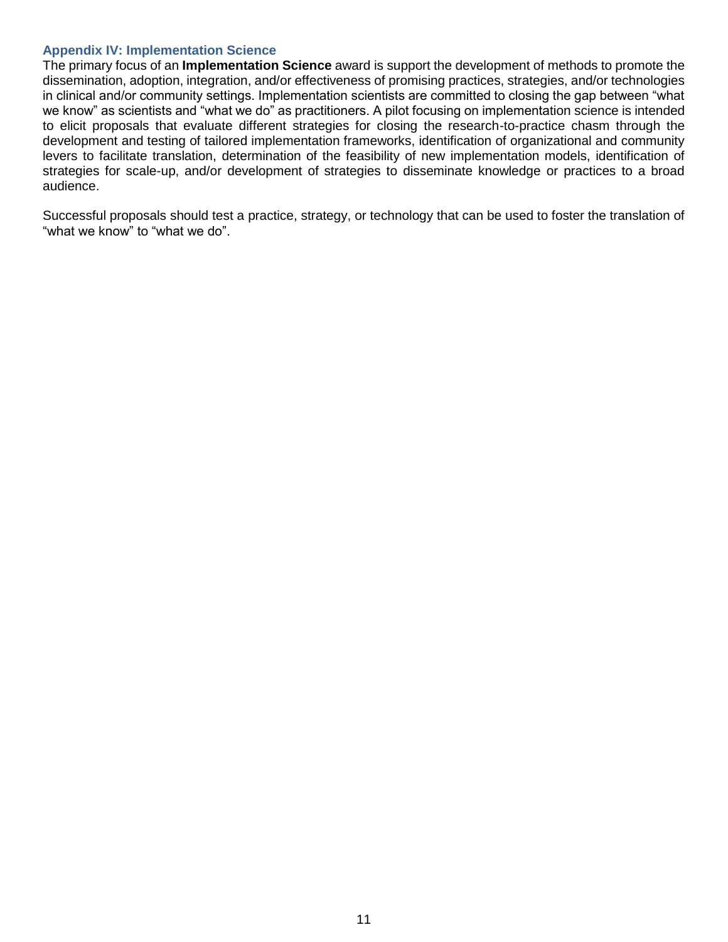#### <span id="page-10-0"></span>**Appendix IV: Implementation Science**

The primary focus of an **Implementation Science** award is support the development of methods to promote the dissemination, adoption, integration, and/or effectiveness of promising practices, strategies, and/or technologies in clinical and/or community settings. Implementation scientists are committed to closing the gap between "what we know" as scientists and "what we do" as practitioners. A pilot focusing on implementation science is intended to elicit proposals that evaluate different strategies for closing the research-to-practice chasm through the development and testing of tailored implementation frameworks, identification of organizational and community levers to facilitate translation, determination of the feasibility of new implementation models, identification of strategies for scale-up, and/or development of strategies to disseminate knowledge or practices to a broad audience.

Successful proposals should test a practice, strategy, or technology that can be used to foster the translation of "what we know" to "what we do".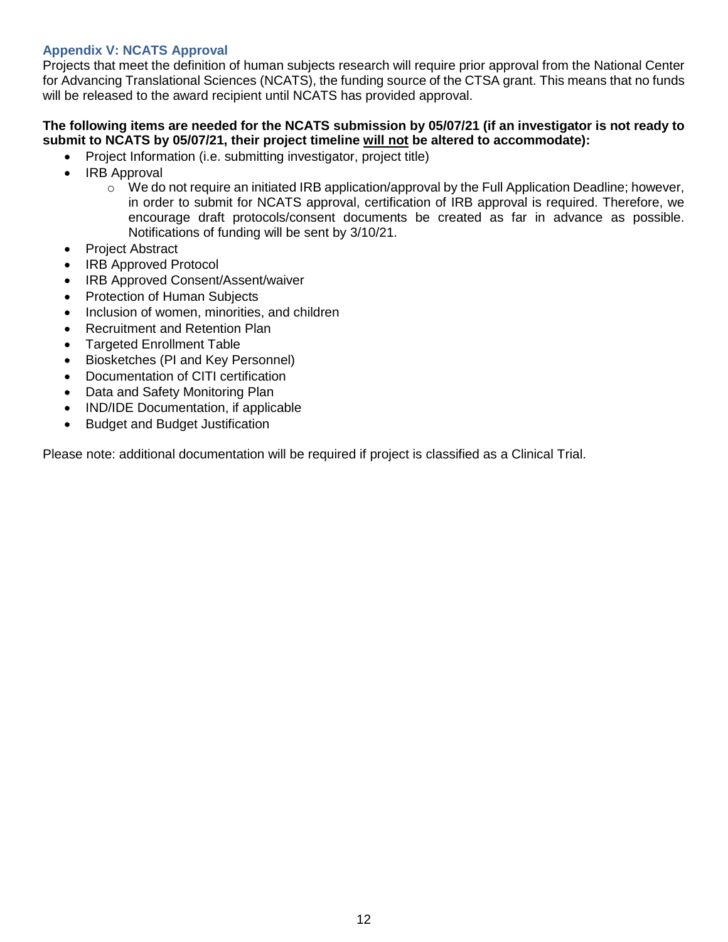## <span id="page-11-0"></span>**Appendix V: NCATS Approval**

Projects that meet the definition of human subjects research will require prior approval from the National Center for Advancing Translational Sciences (NCATS), the funding source of the CTSA grant. This means that no funds will be released to the award recipient until NCATS has provided approval.

### **The following items are needed for the NCATS submission by 05/07/21 (if an investigator is not ready to submit to NCATS by 05/07/21, their project timeline will not be altered to accommodate):**

- Project Information (i.e. submitting investigator, project title)
- IRB Approval
	- $\circ$  We do not require an initiated IRB application/approval by the Full Application Deadline; however, in order to submit for NCATS approval, certification of IRB approval is required. Therefore, we encourage draft protocols/consent documents be created as far in advance as possible. Notifications of funding will be sent by 3/10/21.
- Project Abstract
- IRB Approved Protocol
- IRB Approved Consent/Assent/waiver
- Protection of Human Subjects
- Inclusion of women, minorities, and children
- Recruitment and Retention Plan
- Targeted Enrollment Table
- Biosketches (PI and Key Personnel)
- Documentation of CITI certification
- Data and Safety Monitoring Plan
- IND/IDE Documentation, if applicable
- Budget and Budget Justification

Please note: additional documentation will be required if project is classified as a Clinical Trial.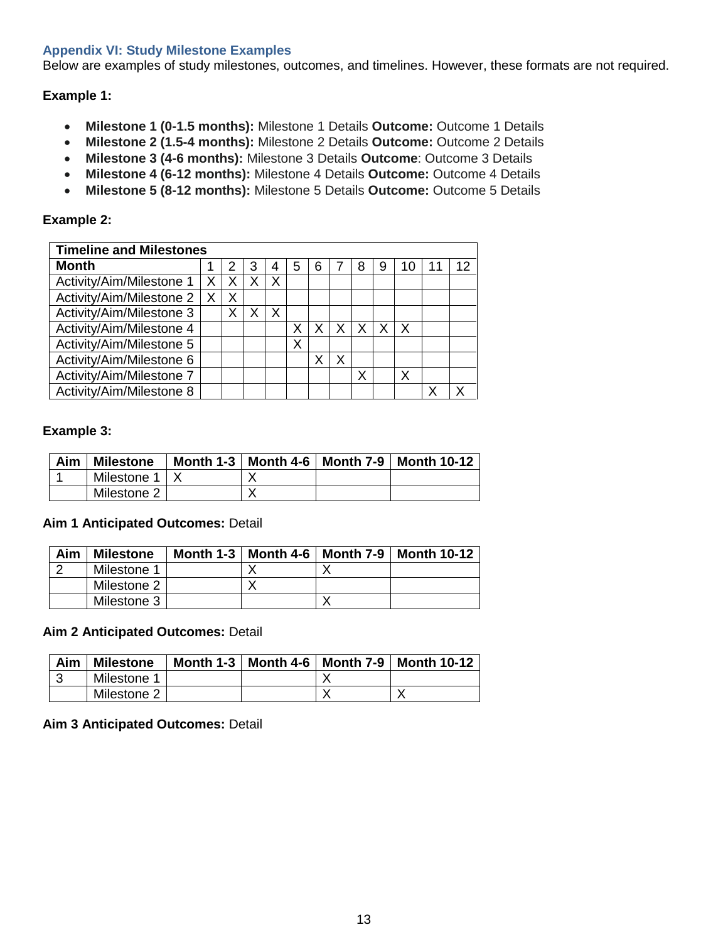### <span id="page-12-0"></span>**Appendix VI: Study Milestone Examples**

Below are examples of study milestones, outcomes, and timelines. However, these formats are not required.

#### **Example 1:**

- **Milestone 1 (0-1.5 months):** Milestone 1 Details **Outcome:** Outcome 1 Details
- **Milestone 2 (1.5-4 months):** Milestone 2 Details **Outcome:** Outcome 2 Details
- **Milestone 3 (4-6 months):** Milestone 3 Details **Outcome**: Outcome 3 Details
- **Milestone 4 (6-12 months):** Milestone 4 Details **Outcome:** Outcome 4 Details
- **Milestone 5 (8-12 months):** Milestone 5 Details **Outcome:** Outcome 5 Details

#### **Example 2:**

| <b>Timeline and Milestones</b> |   |   |   |   |   |   |    |   |   |   |    |
|--------------------------------|---|---|---|---|---|---|----|---|---|---|----|
| <b>Month</b>                   |   |   | 3 |   | 5 | 6 |    | 8 | 9 |   | 12 |
| Activity/Aim/Milestone 1       | Χ |   |   | Χ |   |   |    |   |   |   |    |
| Activity/Aim/Milestone 2       | Χ | Χ |   |   |   |   |    |   |   |   |    |
| Activity/Aim/Milestone 3       |   |   |   | x |   |   |    |   |   |   |    |
| Activity/Aim/Milestone 4       |   |   |   |   |   |   | X. | X | Χ | X |    |
| Activity/Aim/Milestone 5       |   |   |   |   | X |   |    |   |   |   |    |
| Activity/Aim/Milestone 6       |   |   |   |   |   |   |    |   |   |   |    |
| Activity/Aim/Milestone 7       |   |   |   |   |   |   |    | X |   | X |    |
| Activity/Aim/Milestone 8       |   |   |   |   |   |   |    |   |   |   |    |

#### **Example 3:**

| Aim | <b>Milestone</b> |  | Month 1-3   Month 4-6   Month 7-9   Month 10-12 |
|-----|------------------|--|-------------------------------------------------|
|     | Milestone 1      |  |                                                 |
|     | Milestone 2      |  |                                                 |

### **Aim 1 Anticipated Outcomes:** Detail

| Aim | <b>Milestone</b> |  | Month 1-3   Month 4-6   Month 7-9   Month 10-12 |
|-----|------------------|--|-------------------------------------------------|
|     | Milestone 1      |  |                                                 |
|     | Milestone 2      |  |                                                 |
|     | Milestone 3      |  |                                                 |

#### **Aim 2 Anticipated Outcomes:** Detail

| Aim | <b>Milestone</b> | Month 1-3 $\mid$ Month 4-6 | Month $7-9$   Month 10-12 |
|-----|------------------|----------------------------|---------------------------|
|     | Milestone 1      |                            |                           |
|     | Milestone 2      |                            |                           |

#### **Aim 3 Anticipated Outcomes:** Detail